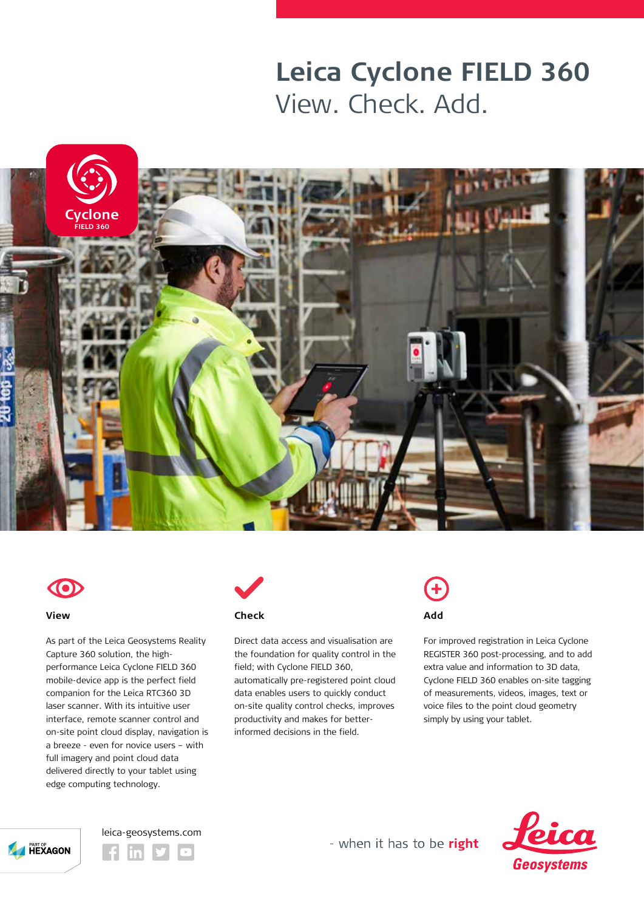## **Leica Cyclone FIELD 360** View. Check. Add.





### **View**

As part of the Leica Geosystems Reality Capture 360 solution, the highperformance Leica Cyclone FIELD 360 mobile-device app is the perfect field companion for the Leica RTC360 3D laser scanner. With its intuitive user interface, remote scanner control and on-site point cloud display, navigation is a breeze - even for novice users – with full imagery and point cloud data delivered directly to your tablet using edge computing technology.



Direct data access and visualisation are the foundation for quality control in the field; with Cyclone FIELD 360, automatically pre-registered point cloud data enables users to quickly conduct on-site quality control checks, improves productivity and makes for betterinformed decisions in the field.

# **Add**

For improved registration in Leica Cyclone REGISTER 360 post-processing, and to add extra value and information to 3D data, Cyclone FIELD 360 enables on-site tagging of measurements, videos, images, text or voice files to the point cloud geometry simply by using your tablet.







- when it has to be right